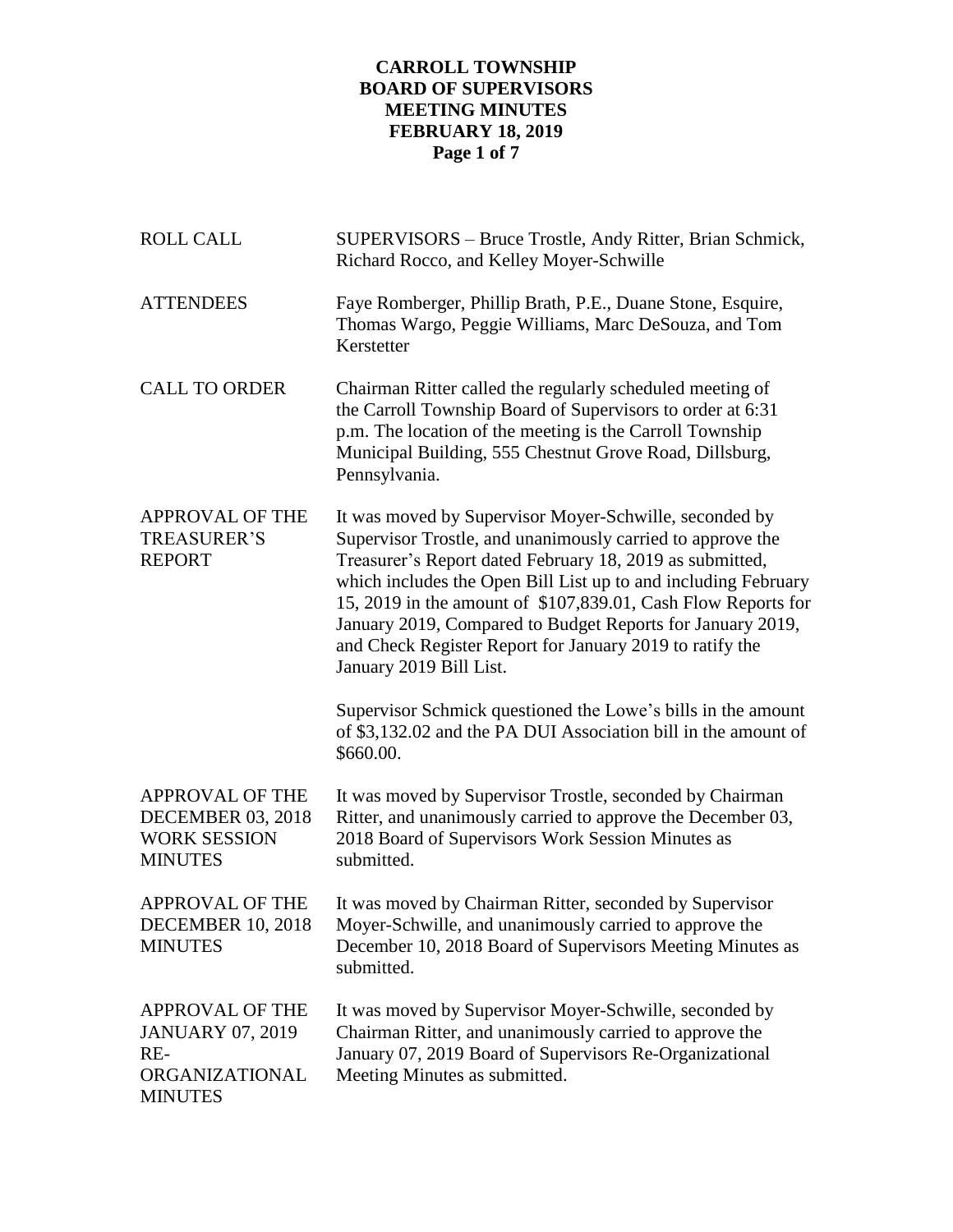# **CARROLL TOWNSHIP BOARD OF SUPERVISORS MEETING MINUTES FEBRUARY 18, 2019 Page 1 of 7**

| <b>ROLL CALL</b>                                                                               | SUPERVISORS - Bruce Trostle, Andy Ritter, Brian Schmick,<br>Richard Rocco, and Kelley Moyer-Schwille                                                                                                                                                                                                                                                                                                                                                                     |  |
|------------------------------------------------------------------------------------------------|--------------------------------------------------------------------------------------------------------------------------------------------------------------------------------------------------------------------------------------------------------------------------------------------------------------------------------------------------------------------------------------------------------------------------------------------------------------------------|--|
| <b>ATTENDEES</b>                                                                               | Faye Romberger, Phillip Brath, P.E., Duane Stone, Esquire,<br>Thomas Wargo, Peggie Williams, Marc DeSouza, and Tom<br>Kerstetter                                                                                                                                                                                                                                                                                                                                         |  |
| <b>CALL TO ORDER</b>                                                                           | Chairman Ritter called the regularly scheduled meeting of<br>the Carroll Township Board of Supervisors to order at 6:31<br>p.m. The location of the meeting is the Carroll Township<br>Municipal Building, 555 Chestnut Grove Road, Dillsburg,<br>Pennsylvania.                                                                                                                                                                                                          |  |
| <b>APPROVAL OF THE</b><br><b>TREASURER'S</b><br><b>REPORT</b>                                  | It was moved by Supervisor Moyer-Schwille, seconded by<br>Supervisor Trostle, and unanimously carried to approve the<br>Treasurer's Report dated February 18, 2019 as submitted,<br>which includes the Open Bill List up to and including February<br>15, 2019 in the amount of \$107,839.01, Cash Flow Reports for<br>January 2019, Compared to Budget Reports for January 2019,<br>and Check Register Report for January 2019 to ratify the<br>January 2019 Bill List. |  |
|                                                                                                | Supervisor Schmick questioned the Lowe's bills in the amount<br>of \$3,132.02 and the PA DUI Association bill in the amount of<br>\$660.00.                                                                                                                                                                                                                                                                                                                              |  |
| <b>APPROVAL OF THE</b><br><b>DECEMBER 03, 2018</b><br><b>WORK SESSION</b><br><b>MINUTES</b>    | It was moved by Supervisor Trostle, seconded by Chairman<br>Ritter, and unanimously carried to approve the December 03,<br>2018 Board of Supervisors Work Session Minutes as<br>submitted.                                                                                                                                                                                                                                                                               |  |
| <b>APPROVAL OF THE</b><br><b>DECEMBER 10, 2018</b><br><b>MINUTES</b>                           | It was moved by Chairman Ritter, seconded by Supervisor<br>Moyer-Schwille, and unanimously carried to approve the<br>December 10, 2018 Board of Supervisors Meeting Minutes as<br>submitted.                                                                                                                                                                                                                                                                             |  |
| <b>APPROVAL OF THE</b><br><b>JANUARY 07, 2019</b><br>$RE-$<br>ORGANIZATIONAL<br><b>MINUTES</b> | It was moved by Supervisor Moyer-Schwille, seconded by<br>Chairman Ritter, and unanimously carried to approve the<br>January 07, 2019 Board of Supervisors Re-Organizational<br>Meeting Minutes as submitted.                                                                                                                                                                                                                                                            |  |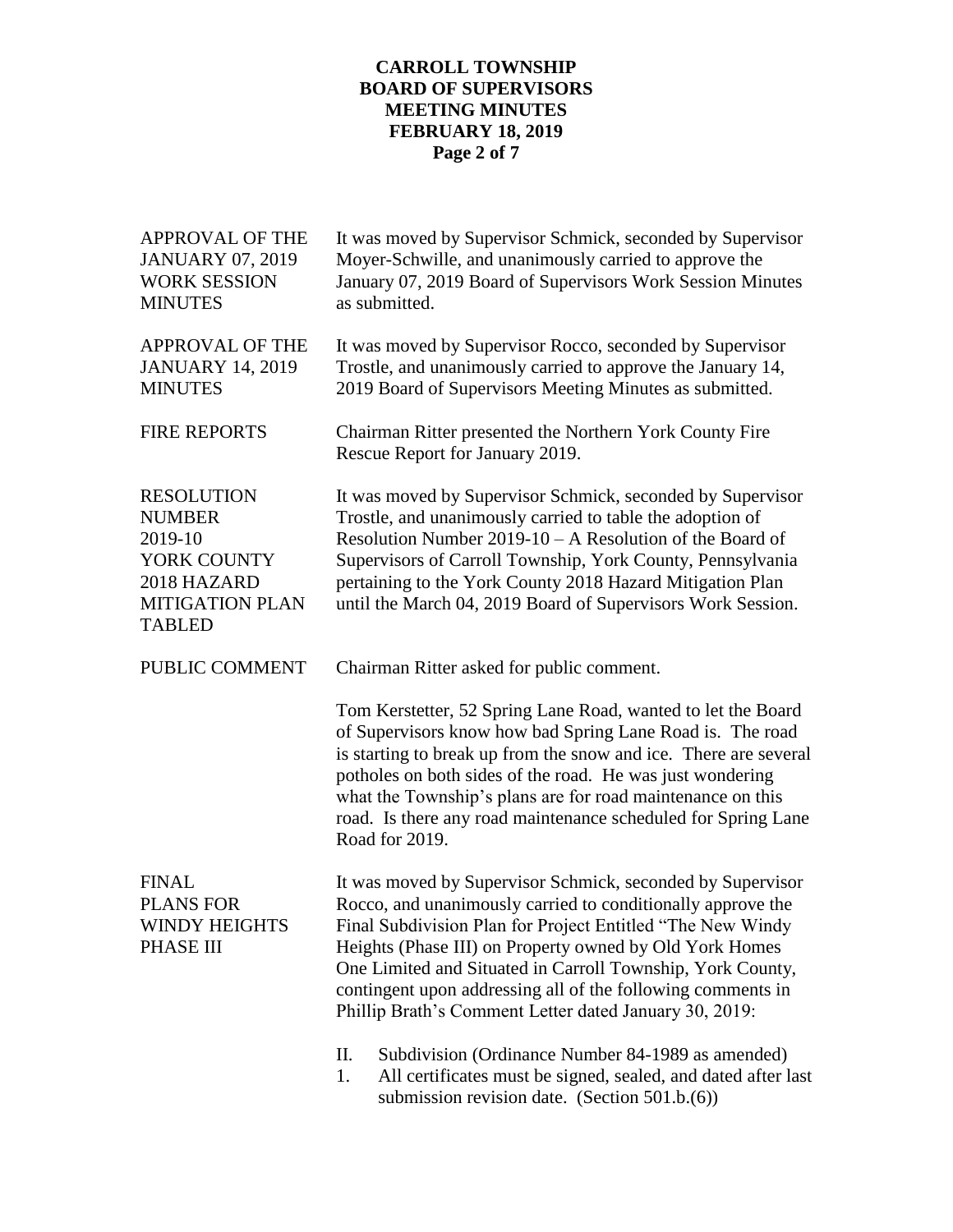# **CARROLL TOWNSHIP BOARD OF SUPERVISORS MEETING MINUTES FEBRUARY 18, 2019 Page 2 of 7**

| <b>APPROVAL OF THE</b><br><b>JANUARY 07, 2019</b><br><b>WORK SESSION</b><br><b>MINUTES</b>                             | It was moved by Supervisor Schmick, seconded by Supervisor<br>Moyer-Schwille, and unanimously carried to approve the<br>January 07, 2019 Board of Supervisors Work Session Minutes<br>as submitted.                                                                                                                                                                                                                                       |  |  |
|------------------------------------------------------------------------------------------------------------------------|-------------------------------------------------------------------------------------------------------------------------------------------------------------------------------------------------------------------------------------------------------------------------------------------------------------------------------------------------------------------------------------------------------------------------------------------|--|--|
| <b>APPROVAL OF THE</b><br><b>JANUARY 14, 2019</b><br><b>MINUTES</b>                                                    | It was moved by Supervisor Rocco, seconded by Supervisor<br>Trostle, and unanimously carried to approve the January 14,<br>2019 Board of Supervisors Meeting Minutes as submitted.                                                                                                                                                                                                                                                        |  |  |
| <b>FIRE REPORTS</b>                                                                                                    | Chairman Ritter presented the Northern York County Fire<br>Rescue Report for January 2019.                                                                                                                                                                                                                                                                                                                                                |  |  |
| <b>RESOLUTION</b><br><b>NUMBER</b><br>2019-10<br>YORK COUNTY<br>2018 HAZARD<br><b>MITIGATION PLAN</b><br><b>TABLED</b> | It was moved by Supervisor Schmick, seconded by Supervisor<br>Trostle, and unanimously carried to table the adoption of<br>Resolution Number $2019-10 - A$ Resolution of the Board of<br>Supervisors of Carroll Township, York County, Pennsylvania<br>pertaining to the York County 2018 Hazard Mitigation Plan<br>until the March 04, 2019 Board of Supervisors Work Session.                                                           |  |  |
| PUBLIC COMMENT                                                                                                         | Chairman Ritter asked for public comment.                                                                                                                                                                                                                                                                                                                                                                                                 |  |  |
|                                                                                                                        | Tom Kerstetter, 52 Spring Lane Road, wanted to let the Board<br>of Supervisors know how bad Spring Lane Road is. The road<br>is starting to break up from the snow and ice. There are several<br>potholes on both sides of the road. He was just wondering<br>what the Township's plans are for road maintenance on this<br>road. Is there any road maintenance scheduled for Spring Lane<br>Road for 2019.                               |  |  |
| <b>FINAL</b><br><b>PLANS FOR</b><br><b>WINDY HEIGHTS</b><br>PHASE III                                                  | It was moved by Supervisor Schmick, seconded by Supervisor<br>Rocco, and unanimously carried to conditionally approve the<br>Final Subdivision Plan for Project Entitled "The New Windy<br>Heights (Phase III) on Property owned by Old York Homes<br>One Limited and Situated in Carroll Township, York County,<br>contingent upon addressing all of the following comments in<br>Phillip Brath's Comment Letter dated January 30, 2019: |  |  |
|                                                                                                                        | П.<br>Subdivision (Ordinance Number 84-1989 as amended)<br>All certificates must be signed, sealed, and dated after last<br>1.<br>submission revision date. (Section 501.b.(6))                                                                                                                                                                                                                                                           |  |  |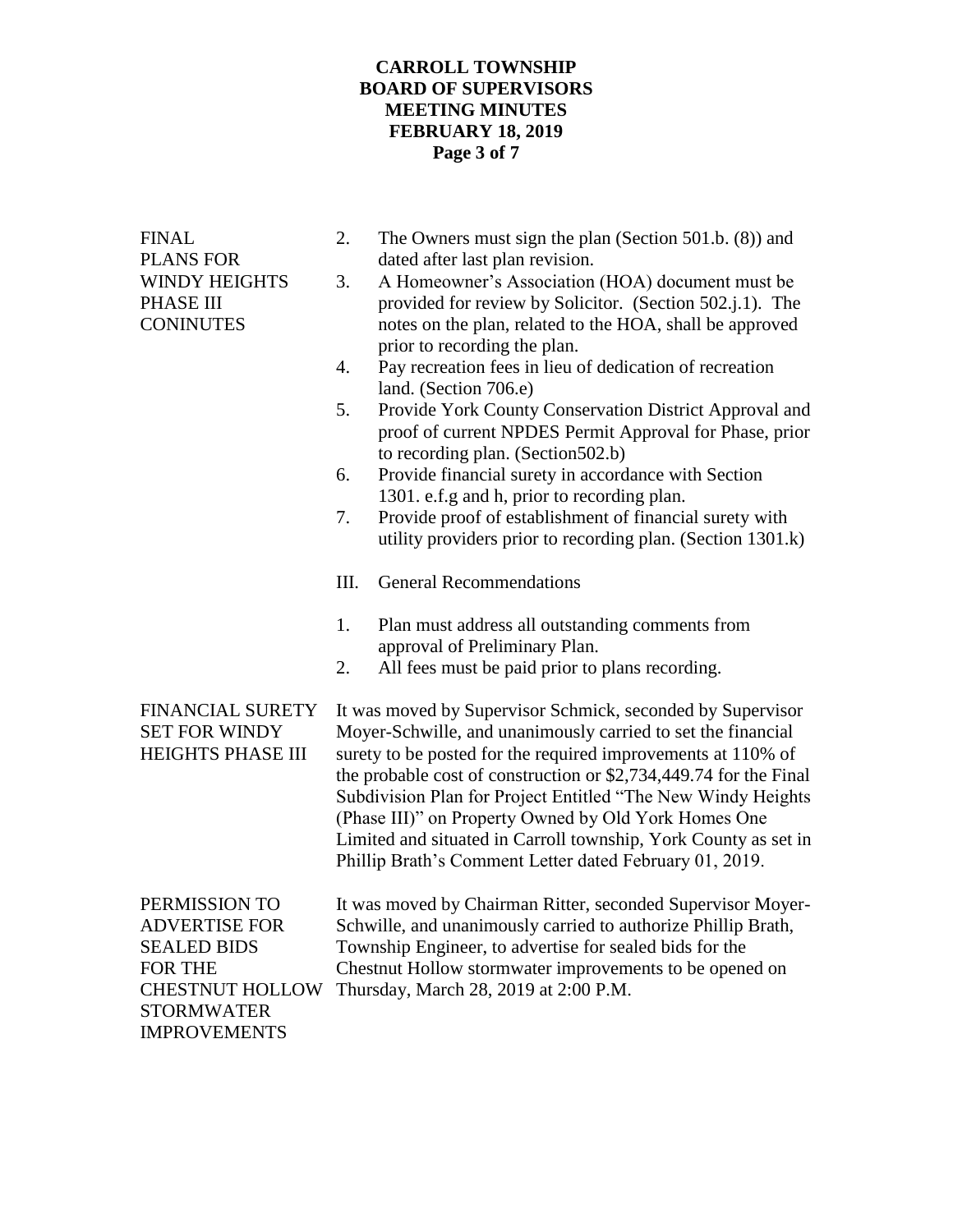# **CARROLL TOWNSHIP BOARD OF SUPERVISORS MEETING MINUTES FEBRUARY 18, 2019 Page 3 of 7**

| <b>FINAL</b><br><b>PLANS FOR</b><br><b>WINDY HEIGHTS</b><br>PHASE III<br><b>CONINUTES</b>                                                    | 2.<br>3.<br>4.<br>5.<br>6.<br>7.<br>Ш.<br>1.<br>2.                                                                                                                                                                                                                                                                                                                                                                                                                                                                    | The Owners must sign the plan (Section 501.b. $(8)$ ) and<br>dated after last plan revision.<br>A Homeowner's Association (HOA) document must be<br>provided for review by Solicitor. (Section 502.j.1). The<br>notes on the plan, related to the HOA, shall be approved<br>prior to recording the plan.<br>Pay recreation fees in lieu of dedication of recreation<br>land. (Section 706.e)<br>Provide York County Conservation District Approval and<br>proof of current NPDES Permit Approval for Phase, prior<br>to recording plan. (Section 502.b)<br>Provide financial surety in accordance with Section<br>1301. e.f.g and h, prior to recording plan.<br>Provide proof of establishment of financial surety with<br>utility providers prior to recording plan. (Section 1301.k)<br><b>General Recommendations</b><br>Plan must address all outstanding comments from<br>approval of Preliminary Plan.<br>All fees must be paid prior to plans recording. |
|----------------------------------------------------------------------------------------------------------------------------------------------|-----------------------------------------------------------------------------------------------------------------------------------------------------------------------------------------------------------------------------------------------------------------------------------------------------------------------------------------------------------------------------------------------------------------------------------------------------------------------------------------------------------------------|------------------------------------------------------------------------------------------------------------------------------------------------------------------------------------------------------------------------------------------------------------------------------------------------------------------------------------------------------------------------------------------------------------------------------------------------------------------------------------------------------------------------------------------------------------------------------------------------------------------------------------------------------------------------------------------------------------------------------------------------------------------------------------------------------------------------------------------------------------------------------------------------------------------------------------------------------------------|
| <b>FINANCIAL SURETY</b><br><b>SET FOR WINDY</b><br><b>HEIGHTS PHASE III</b>                                                                  | It was moved by Supervisor Schmick, seconded by Supervisor<br>Moyer-Schwille, and unanimously carried to set the financial<br>surety to be posted for the required improvements at 110% of<br>the probable cost of construction or \$2,734,449.74 for the Final<br>Subdivision Plan for Project Entitled "The New Windy Heights<br>(Phase III)" on Property Owned by Old York Homes One<br>Limited and situated in Carroll township, York County as set in<br>Phillip Brath's Comment Letter dated February 01, 2019. |                                                                                                                                                                                                                                                                                                                                                                                                                                                                                                                                                                                                                                                                                                                                                                                                                                                                                                                                                                  |
| PERMISSION TO<br><b>ADVERTISE FOR</b><br><b>SEALED BIDS</b><br>FOR THE<br><b>CHESTNUT HOLLOW</b><br><b>STORMWATER</b><br><b>IMPROVEMENTS</b> |                                                                                                                                                                                                                                                                                                                                                                                                                                                                                                                       | It was moved by Chairman Ritter, seconded Supervisor Moyer-<br>Schwille, and unanimously carried to authorize Phillip Brath,<br>Township Engineer, to advertise for sealed bids for the<br>Chestnut Hollow stormwater improvements to be opened on<br>Thursday, March 28, 2019 at 2:00 P.M.                                                                                                                                                                                                                                                                                                                                                                                                                                                                                                                                                                                                                                                                      |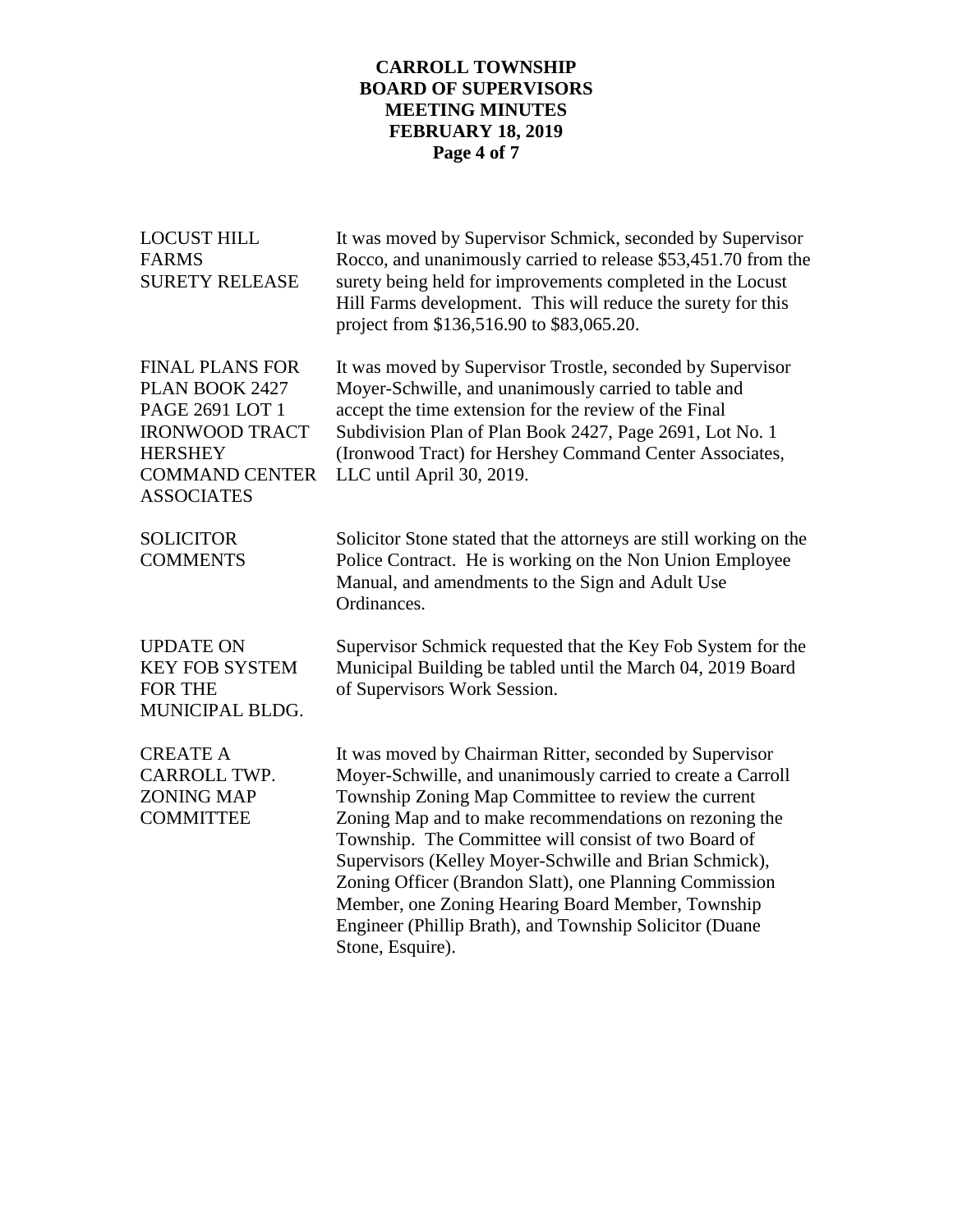## **CARROLL TOWNSHIP BOARD OF SUPERVISORS MEETING MINUTES FEBRUARY 18, 2019 Page 4 of 7**

| <b>LOCUST HILL</b><br><b>FARMS</b><br><b>SURETY RELEASE</b>                                                                                          | It was moved by Supervisor Schmick, seconded by Supervisor<br>Rocco, and unanimously carried to release \$53,451.70 from the<br>surety being held for improvements completed in the Locust<br>Hill Farms development. This will reduce the surety for this<br>project from \$136,516.90 to \$83,065.20.                                                                                                                                                                                                                                                  |
|------------------------------------------------------------------------------------------------------------------------------------------------------|----------------------------------------------------------------------------------------------------------------------------------------------------------------------------------------------------------------------------------------------------------------------------------------------------------------------------------------------------------------------------------------------------------------------------------------------------------------------------------------------------------------------------------------------------------|
| <b>FINAL PLANS FOR</b><br>PLAN BOOK 2427<br>PAGE 2691 LOT 1<br><b>IRONWOOD TRACT</b><br><b>HERSHEY</b><br><b>COMMAND CENTER</b><br><b>ASSOCIATES</b> | It was moved by Supervisor Trostle, seconded by Supervisor<br>Moyer-Schwille, and unanimously carried to table and<br>accept the time extension for the review of the Final<br>Subdivision Plan of Plan Book 2427, Page 2691, Lot No. 1<br>(Ironwood Tract) for Hershey Command Center Associates,<br>LLC until April 30, 2019.                                                                                                                                                                                                                          |
| <b>SOLICITOR</b><br><b>COMMENTS</b>                                                                                                                  | Solicitor Stone stated that the attorneys are still working on the<br>Police Contract. He is working on the Non Union Employee<br>Manual, and amendments to the Sign and Adult Use<br>Ordinances.                                                                                                                                                                                                                                                                                                                                                        |
| <b>UPDATE ON</b><br><b>KEY FOB SYSTEM</b><br><b>FOR THE</b><br>MUNICIPAL BLDG.                                                                       | Supervisor Schmick requested that the Key Fob System for the<br>Municipal Building be tabled until the March 04, 2019 Board<br>of Supervisors Work Session.                                                                                                                                                                                                                                                                                                                                                                                              |
| <b>CREATE A</b><br>CARROLL TWP.<br><b>ZONING MAP</b><br><b>COMMITTEE</b>                                                                             | It was moved by Chairman Ritter, seconded by Supervisor<br>Moyer-Schwille, and unanimously carried to create a Carroll<br>Township Zoning Map Committee to review the current<br>Zoning Map and to make recommendations on rezoning the<br>Township. The Committee will consist of two Board of<br>Supervisors (Kelley Moyer-Schwille and Brian Schmick),<br>Zoning Officer (Brandon Slatt), one Planning Commission<br>Member, one Zoning Hearing Board Member, Township<br>Engineer (Phillip Brath), and Township Solicitor (Duane<br>Stone, Esquire). |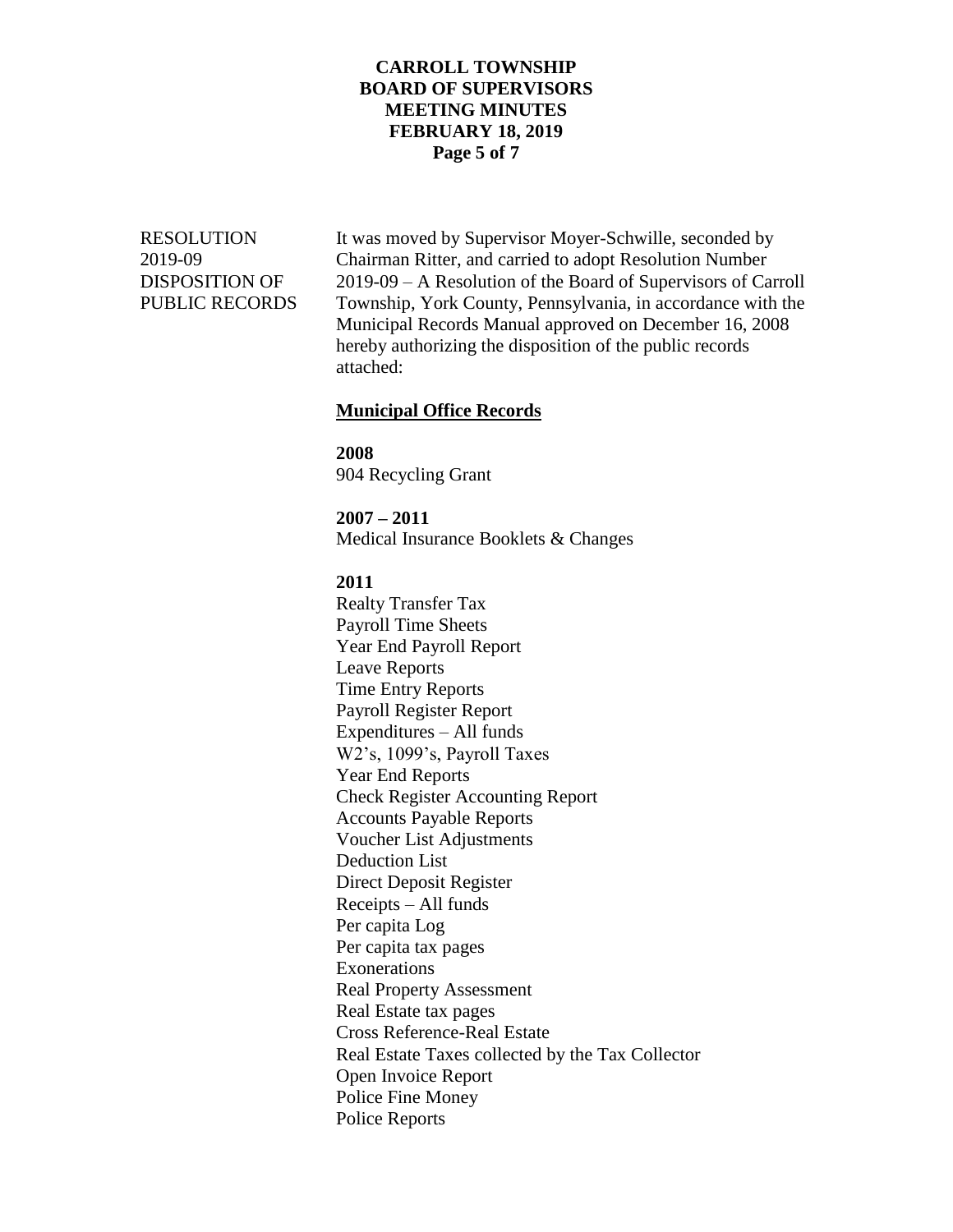### **CARROLL TOWNSHIP BOARD OF SUPERVISORS MEETING MINUTES FEBRUARY 18, 2019 Page 5 of 7**

RESOLUTION It was moved by Supervisor Moyer-Schwille, seconded by 2019-09 Chairman Ritter, and carried to adopt Resolution Number DISPOSITION OF 2019-09 – A Resolution of the Board of Supervisors of Carroll PUBLIC RECORDS Township, York County, Pennsylvania, in accordance with the Municipal Records Manual approved on December 16, 2008 hereby authorizing the disposition of the public records attached:

#### **Municipal Office Records**

**2008** 904 Recycling Grant

**2007 – 2011** Medical Insurance Booklets & Changes

**2011**

Realty Transfer Tax Payroll Time Sheets Year End Payroll Report Leave Reports Time Entry Reports Payroll Register Report Expenditures – All funds W2's, 1099's, Payroll Taxes Year End Reports Check Register Accounting Report Accounts Payable Reports Voucher List Adjustments Deduction List Direct Deposit Register Receipts – All funds Per capita Log Per capita tax pages Exonerations Real Property Assessment Real Estate tax pages Cross Reference-Real Estate Real Estate Taxes collected by the Tax Collector Open Invoice Report Police Fine Money Police Reports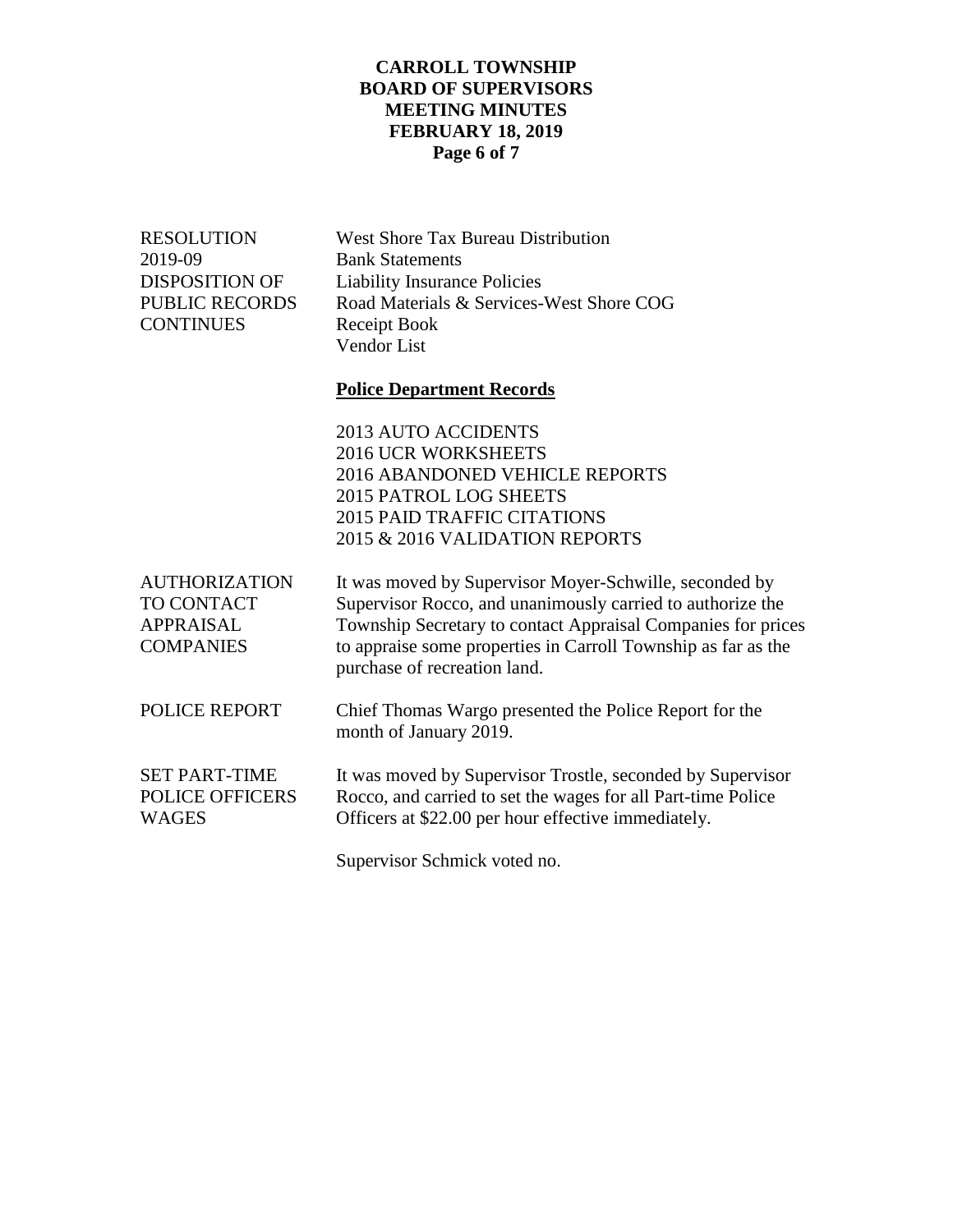# **CARROLL TOWNSHIP BOARD OF SUPERVISORS MEETING MINUTES FEBRUARY 18, 2019 Page 6 of 7**

| <b>RESOLUTION</b><br>2019-09<br><b>DISPOSITION OF</b><br><b>PUBLIC RECORDS</b><br><b>CONTINUES</b> | <b>West Shore Tax Bureau Distribution</b><br><b>Bank Statements</b><br><b>Liability Insurance Policies</b><br>Road Materials & Services-West Shore COG<br>Receipt Book<br>Vendor List                                                                                                 |
|----------------------------------------------------------------------------------------------------|---------------------------------------------------------------------------------------------------------------------------------------------------------------------------------------------------------------------------------------------------------------------------------------|
|                                                                                                    | <b>Police Department Records</b>                                                                                                                                                                                                                                                      |
|                                                                                                    | 2013 AUTO ACCIDENTS<br><b>2016 UCR WORKSHEETS</b><br>2016 ABANDONED VEHICLE REPORTS<br>2015 PATROL LOG SHEETS<br><b>2015 PAID TRAFFIC CITATIONS</b><br>2015 & 2016 VALIDATION REPORTS                                                                                                 |
| <b>AUTHORIZATION</b><br><b>TO CONTACT</b><br><b>APPRAISAL</b><br><b>COMPANIES</b>                  | It was moved by Supervisor Moyer-Schwille, seconded by<br>Supervisor Rocco, and unanimously carried to authorize the<br>Township Secretary to contact Appraisal Companies for prices<br>to appraise some properties in Carroll Township as far as the<br>purchase of recreation land. |
| POLICE REPORT                                                                                      | Chief Thomas Wargo presented the Police Report for the<br>month of January 2019.                                                                                                                                                                                                      |
| <b>SET PART-TIME</b><br><b>POLICE OFFICERS</b><br><b>WAGES</b>                                     | It was moved by Supervisor Trostle, seconded by Supervisor<br>Rocco, and carried to set the wages for all Part-time Police<br>Officers at \$22.00 per hour effective immediately.                                                                                                     |
|                                                                                                    |                                                                                                                                                                                                                                                                                       |

Supervisor Schmick voted no.